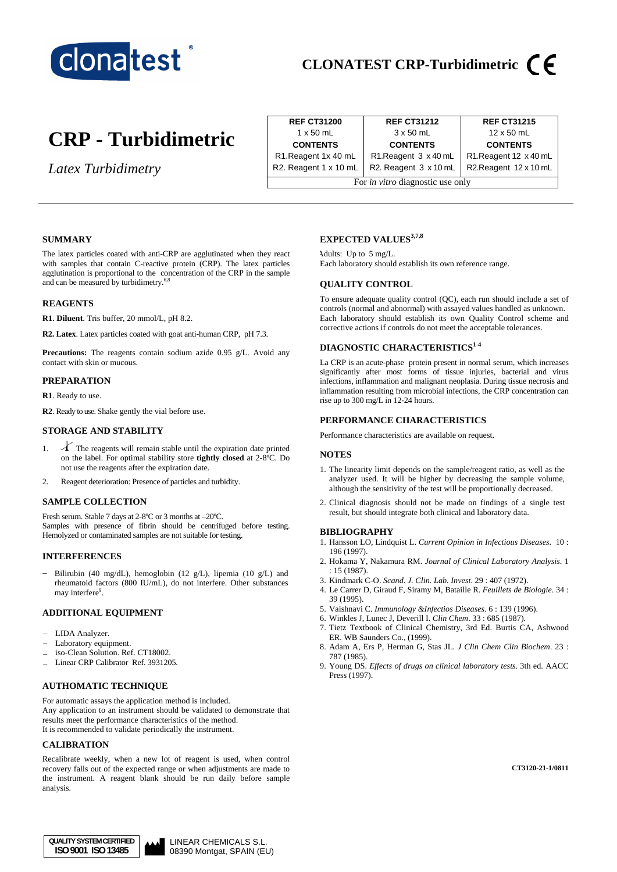

# **CLONATEST CRP-Turbidimetric**

# **CRP - Turbidimetric**

*Latex Turbidimetry*

| <b>REF CT31200</b>                      | <b>REF CT31212</b>    | <b>REF CT31215</b>    |  |  |  |
|-----------------------------------------|-----------------------|-----------------------|--|--|--|
| $1 \times 50$ mL                        | $3 \times 50$ mL      | 12 x 50 mL            |  |  |  |
| <b>CONTENTS</b>                         | <b>CONTENTS</b>       | <b>CONTENTS</b>       |  |  |  |
| R1.Reagent 1x 40 mL                     | R1.Reagent 3 x 40 mL  | R1.Reagent 12 x 40 mL |  |  |  |
| R2. Reagent 1 x 10 mL                   | R2. Reagent 3 x 10 mL | R2.Reagent 12 x 10 mL |  |  |  |
| For <i>in vitro</i> diagnostic use only |                       |                       |  |  |  |

### **SUMMARY**

The latex particles coated with anti-CRP are agglutinated when they react with samples that contain C-reactive protein (CRP). The latex particles agglutination is proportional to the concentration of the CRP in the sample and can be measured by turbidimetry.<sup>6,8</sup>

#### **REAGENTS**

**R1. Diluent**. Tris buffer, 20 mmol/L, pH 8.2.

**R2. Latex**. Latex particles coated with goat anti-human CRP, pH 7.3.

**Precautions:** The reagents contain sodium azide 0.95 g/L. Avoid any contact with skin or mucous.

## **PREPARATION**

**R1**. Ready to use.

**R2**. Ready to use. Shake gently the vial before use.

### **STORAGE AND STABILITY**

- 1.  $\blacktriangle$  The reagents will remain stable until the expiration date printed on the label. For optimal stability store **tightly closed** at 2-8ºC. Do not use the reagents after the expiration date.
- 2. Reagent deterioration: Presence of particles and turbidity.

### **SAMPLE COLLECTION**

Fresh serum. Stable 7 days at 2-8ºC or 3 months at –20ºC. Samples with presence of fibrin should be centrifuged before testing. Hemolyzed or contaminated samples are not suitable for testing.

#### **INTERFERENCES**

- Bilirubin (40 mg/dL), hemoglobin (12 g/L), lipemia (10 g/L) and rheumatoid factors (800 IU/mL), do not interfere. Other substances may interfere<sup>9</sup>.

# **ADDITIONAL EQUIPMENT**

- -LIDA Analyzer.
- $\overline{a}$ Laboratory equipment.
- $\overline{a}$ iso-Clean Solution. Ref. CT18002.
- $\overline{a}$ Linear CRP Calibrator Ref. 3931205.

### **AUTHOMATIC TECHNIQUE**

For automatic assays the application method is included. Any application to an instrument should be validated to demonstrate that results meet the performance characteristics of the method. It is recommended to validate periodically the instrument.

# **CALIBRATION**

Recalibrate weekly, when a new lot of reagent is used, when control recovery falls out of the expected range or when adjustments are made to the instrument. A reagent blank should be run daily before sample analysis.

## **EXPECTED VALUES3,7,8**

Adults: Up to 5 mg/L. Each laboratory should establish its own reference range.

## **QUALITY CONTROL**

To ensure adequate quality control (QC), each run should include a set of controls (normal and abnormal) with assayed values handled as unknown. Each laboratory should establish its own Quality Control scheme and corrective actions if controls do not meet the acceptable tolerances.

# **DIAGNOSTIC CHARACTERISTICS1-4**

La CRP is an acute-phase protein present in normal serum, which increases significantly after most forms of tissue injuries, bacterial and virus infections, inflammation and malignant neoplasia. During tissue necrosis and inflammation resulting from microbial infections, the CRP concentration can rise up to 300 mg/L in 12-24 hours.

#### **PERFORMANCE CHARACTERISTICS**

Performance characteristics are available on request.

#### **NOTES**

- 1. The linearity limit depends on the sample/reagent ratio, as well as the analyzer used. It will be higher by decreasing the sample volume, although the sensitivity of the test will be proportionally decreased.
- 2. Clinical diagnosis should not be made on findings of a single test result, but should integrate both clinical and laboratory data.

#### **BIBLIOGRAPHY**

- 1. Hansson LO, Lindquist L. *Current Opinion in Infectious Diseases.* 10 : 196 (1997).
- 2. Hokama Y, Nakamura RM. *Journal of Clinical Laboratory Analysis*. 1 : 15 (1987).
- 3. Kindmark C-O. *Scand. J. Clin. Lab. Invest*. 29 : 407 (1972).
- 4. Le Carrer D, Giraud F, Siramy M, Bataille R. *Feuillets de Biologie*. 34 : 39 (1995).
- 5. Vaishnavi C. *Immunology &Infectios Diseases*. 6 : 139 (1996).
- 6. Winkles J, Lunec J, Deverill I. *Clin Chem*. 33 : 685 (1987).
- 7. Tietz Textbook of Clinical Chemistry, 3rd Ed. Burtis CA, Ashwood ER. WB Saunders Co., (1999).
- 8. Adam A, Ers P, Herman G, Stas JL. *J Clin Chem Clin Biochem*. 23 : 787 (1985).
- 9. Young DS. *Effects of drugs on clinical laboratory tests*. 3th ed. AACC Press (1997).

**CT3120-21-1/0811**

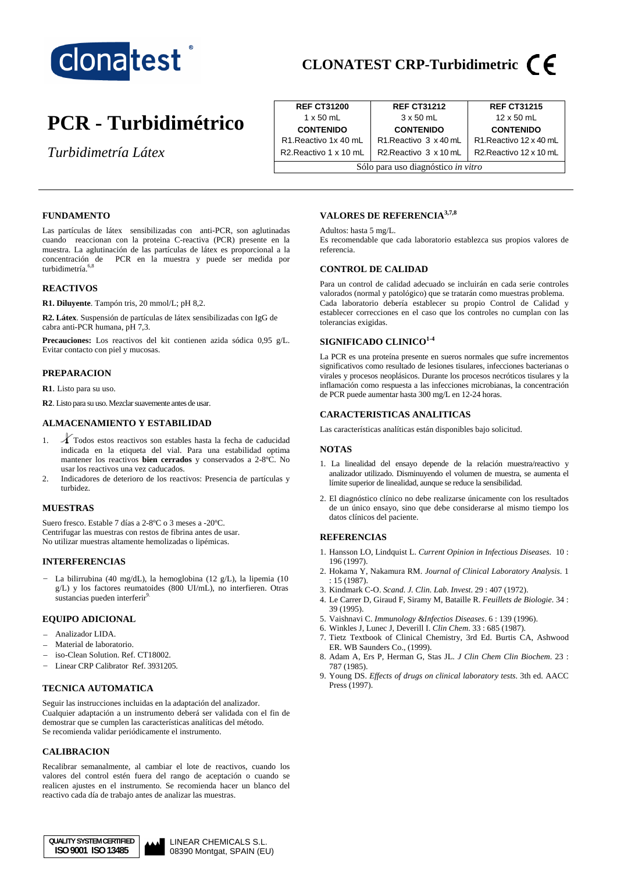

# **CLONATEST CRP-Turbidimetric**

# **PCR - Turbidimétrico**

*Turbidimetría Látex* 

| <b>REF CT31200</b>                  | <b>REF CT31212</b>                  | <b>REF CT31215</b>      |  |  |  |
|-------------------------------------|-------------------------------------|-------------------------|--|--|--|
| $1 \times 50$ mL                    | $3 \times 50$ mL                    | $12 \times 50$ mL       |  |  |  |
| <b>CONTENIDO</b>                    | <b>CONTENIDO</b>                    | <b>CONTENIDO</b>        |  |  |  |
| R1. Reactivo 1x 40 mL               | R1. Reactivo 3 x 40 mL              | R1. Reactivo 12 x 40 mL |  |  |  |
| R <sub>2</sub> . Reactivo 1 x 10 mL | R <sub>2</sub> . Reactivo 3 x 10 mL | R2. Reactivo 12 x 10 mL |  |  |  |
| Sólo para uso diagnóstico in vitro  |                                     |                         |  |  |  |

# **FUNDAMENTO**

Las partículas de látex sensibilizadas con anti-PCR, son aglutinadas cuando reaccionan con la proteina C-reactiva (PCR) presente en la muestra. La aglutinación de las partículas de látex es proporcional a la PCR en la muestra y puede ser medida por turbidimetría.<sup>6,8</sup>

# **REACTIVOS**

**R1. Diluyente**. Tampón tris, 20 mmol/L; pH 8,2.

**R2. Látex**. Suspensión de partículas de látex sensibilizadas con IgG de cabra anti-PCR humana, pH 7,3.

**Precauciones:** Los reactivos del kit contienen azida sódica 0,95 g/L. Evitar contacto con piel y mucosas.

# **PREPARACION**

**R1**. Listo para su uso.

**R2**. Listo para su uso. Mezclar suavemente antes de usar.

# **ALMACENAMIENTO Y ESTABILIDAD**

- 1. Todos estos reactivos son estables hasta la fecha de caducidad indicada en la etiqueta del vial. Para una estabilidad optima mantener los reactivos **bien cerrados** y conservados a 2-8ºC. No usar los reactivos una vez caducados.
- 2. Indicadores de deterioro de los reactivos: Presencia de partículas y turbidez.

### **MUESTRAS**

Suero fresco. Estable 7 días a 2-8ºC o 3 meses a -20ºC. Centrifugar las muestras con restos de fibrina antes de usar. No utilizar muestras altamente hemolizadas o lipémicas.

### **INTERFERENCIAS**

 La bilirrubina (40 mg/dL), la hemoglobina (12 g/L), la lipemia (10 g/L) y los factores reumatoides (800 UI/mL), no interfieren. Otras sustancias pueden interferir<sup>9</sup>

### **EQUIPO ADICIONAL**

- $\overline{a}$ Analizador LIDA.
- $\overline{a}$ Material de laboratorio.
- $\overline{a}$ iso-Clean Solution. Ref. CT18002.
- Linear CRP Calibrator Ref. 3931205.

# **TECNICA AUTOMATICA**

Seguir las instrucciones incluidas en la adaptación del analizador. Cualquier adaptación a un instrumento deberá ser validada con el fin de demostrar que se cumplen las características analíticas del método. Se recomienda validar periódicamente el instrumento.

# **CALIBRACION**

 valores del control estén fuera del rango de aceptación o cuando se realicen ajustes en el instrumento. Se recomienda hacer un blanco del Recalibrar semanalmente, al cambiar el lote de reactivos, cuando los reactivo cada día de trabajo antes de analizar las muestras.

### **QUALITY SYSTEM CERTIFIED ISO 9001 ISO 13485**

LINEAR CHEMICALS S.L. 08390 Montgat, SPAIN (EU)

# **VALORES DE REFERENCIA3,7,8**

Adultos: hasta 5 mg/L.

Es recomendable que cada laboratorio establezca sus propios valores de referencia.

## **CONTROL DE CALIDAD**

Para un control de calidad adecuado se incluirán en cada serie controles valorados (normal y patológico) que se tratarán como muestras problema. Cada laboratorio debería establecer su propio Control de Calidad y establecer correcciones en el caso que los controles no cumplan con las tolerancias exigidas.

# **SIGNIFICADO CLINICO1-4**

La PCR es una proteína presente en sueros normales que sufre incrementos significativos como resultado de lesiones tisulares, infecciones bacterianas o virales y procesos neoplásicos. Durante los procesos necróticos tisulares y la inflamación como respuesta a las infecciones microbianas, la concentración de PCR puede aumentar hasta 300 mg/L en 12-24 horas.

# **CARACTERISTICAS ANALITICAS**

Las características analíticas están disponibles bajo solicitud.

### **NOTAS**

- 1. La linealidad del ensayo depende de la relación muestra/reactivo y analizador utilizado. Disminuyendo el volumen de muestra, se aumenta el límite superior de linealidad, aunque se reduce la sensibilidad.
- 2. El diagnóstico clínico no debe realizarse únicamente con los resultados de un único ensayo, sino que debe considerarse al mismo tiempo los datos clínicos del paciente.

## **REFERENCIAS**

- 1. Hansson LO, Lindquist L. *Current Opinion in Infectious Diseases.* 10 : 196 (1997).
- 2. Hokama Y, Nakamura RM. *Journal of Clinical Laboratory Analysis*. 1 : 15 (1987).
- 3. Kindmark C-O. *Scand. J. Clin. Lab. Invest*. 29 : 407 (1972).
- 4. Le Carrer D, Giraud F, Siramy M, Bataille R. *Feuillets de Biologie*. 34 : 39 (1995).
- 5. Vaishnavi C. *Immunology &Infectios Diseases*. 6 : 139 (1996).
- 6. Winkles J, Lunec J, Deverill I. *Clin Chem*. 33 : 685 (1987).
- 7. Tietz Textbook of Clinical Chemistry, 3rd Ed. Burtis CA, Ashwood ER. WB Saunders Co., (1999).
- 8. Adam A, Ers P, Herman G, Stas JL. *J Clin Chem Clin Biochem*. 23 : 787 (1985).
- 9. Young DS. *Effects of drugs on clinical laboratory tests*. 3th ed. AACC Press (1997).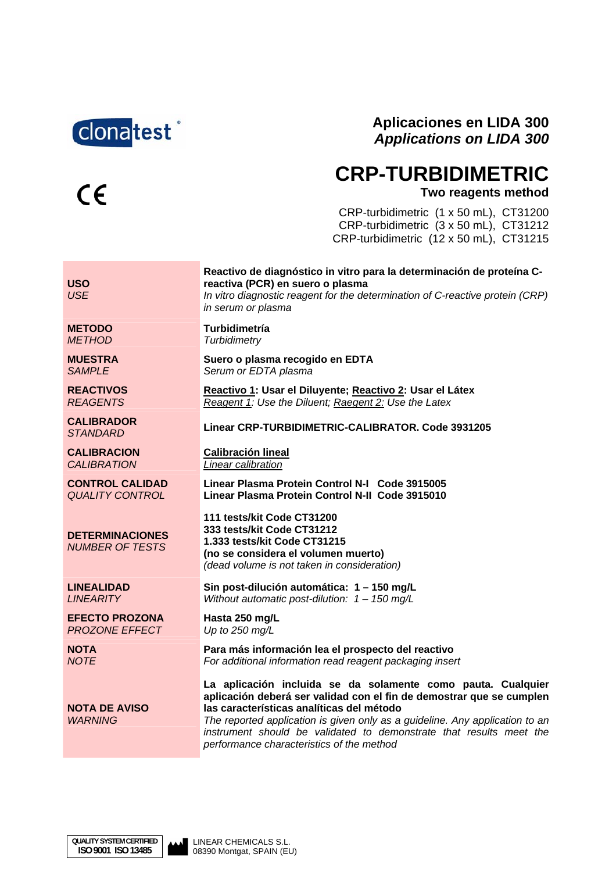

# **Aplicaciones en LIDA 300** *Applications on LIDA 300*

# **CRP-TURBIDIMETRIC**

# **Two reagents method**

CRP-turbidimetric (1 x 50 mL), CT31200 CRP-turbidimetric (3 x 50 mL), CT31212 CRP-turbidimetric (12 x 50 mL), CT31215

| <b>USO</b><br><b>USE</b>                         | Reactivo de diagnóstico in vitro para la determinación de proteína C-<br>reactiva (PCR) en suero o plasma<br>In vitro diagnostic reagent for the determination of C-reactive protein (CRP)<br>in serum or plasma                                                                                                                                                                      |
|--------------------------------------------------|---------------------------------------------------------------------------------------------------------------------------------------------------------------------------------------------------------------------------------------------------------------------------------------------------------------------------------------------------------------------------------------|
| <b>METODO</b>                                    | Turbidimetría                                                                                                                                                                                                                                                                                                                                                                         |
| <b>METHOD</b>                                    | Turbidimetry                                                                                                                                                                                                                                                                                                                                                                          |
| <b>MUESTRA</b>                                   | Suero o plasma recogido en EDTA                                                                                                                                                                                                                                                                                                                                                       |
| <b>SAMPLE</b>                                    | Serum or EDTA plasma                                                                                                                                                                                                                                                                                                                                                                  |
| <b>REACTIVOS</b>                                 | Reactivo 1: Usar el Diluyente; Reactivo 2: Usar el Látex                                                                                                                                                                                                                                                                                                                              |
| <b>REAGENTS</b>                                  | Reagent 1: Use the Diluent; Raegent 2: Use the Latex                                                                                                                                                                                                                                                                                                                                  |
| <b>CALIBRADOR</b><br><b>STANDARD</b>             | Linear CRP-TURBIDIMETRIC-CALIBRATOR. Code 3931205                                                                                                                                                                                                                                                                                                                                     |
| <b>CALIBRACION</b>                               | <b>Calibración lineal</b>                                                                                                                                                                                                                                                                                                                                                             |
| <b>CALIBRATION</b>                               | Linear calibration                                                                                                                                                                                                                                                                                                                                                                    |
| <b>CONTROL CALIDAD</b>                           | Linear Plasma Protein Control N-I Code 3915005                                                                                                                                                                                                                                                                                                                                        |
| <b>QUALITY CONTROL</b>                           | Linear Plasma Protein Control N-II Code 3915010                                                                                                                                                                                                                                                                                                                                       |
| <b>DETERMINACIONES</b><br><b>NUMBER OF TESTS</b> | 111 tests/kit Code CT31200<br>333 tests/kit Code CT31212<br>1.333 tests/kit Code CT31215<br>(no se considera el volumen muerto)<br>(dead volume is not taken in consideration)                                                                                                                                                                                                        |
| <b>LINEALIDAD</b>                                | Sin post-dilución automática: 1 - 150 mg/L                                                                                                                                                                                                                                                                                                                                            |
| <b>LINEARITY</b>                                 | Without automatic post-dilution: $1 - 150$ mg/L                                                                                                                                                                                                                                                                                                                                       |
| <b>EFECTO PROZONA</b>                            | Hasta 250 mg/L                                                                                                                                                                                                                                                                                                                                                                        |
| <b>PROZONE EFFECT</b>                            | Up to 250 mg/L                                                                                                                                                                                                                                                                                                                                                                        |
| <b>NOTA</b>                                      | Para más información lea el prospecto del reactivo                                                                                                                                                                                                                                                                                                                                    |
| <b>NOTE</b>                                      | For additional information read reagent packaging insert                                                                                                                                                                                                                                                                                                                              |
| <b>NOTA DE AVISO</b><br><b>WARNING</b>           | La aplicación incluida se da solamente como pauta. Cualquier<br>aplicación deberá ser validad con el fin de demostrar que se cumplen<br>las características analíticas del método<br>The reported application is given only as a guideline. Any application to an<br>instrument should be validated to demonstrate that results meet the<br>performance characteristics of the method |

 $C\epsilon$